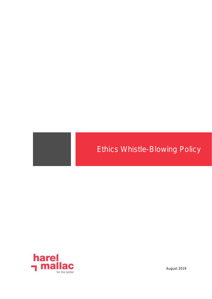# Ethics Whistle-Blowing Policy



August 2019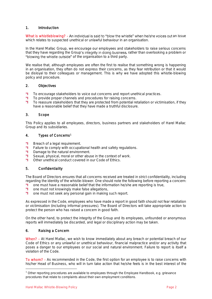## 1. Introduction

What is whistleblowing? - An individual is said to "blow the whistle" when he/she voices out an issue which relates to suspected unethical or unlawful behaviour in an organisation.

In the Harel Mallac Group, we encourage our employees and stakeholders to raise serious concerns that they have regarding the Group's integrity in doing business, rather than overlooking a problem or "blowing the whistle outside" of the organisation to a third party.

We realise that, although employees are often the first to realise that something wrong is happening in an organisation, they often do not express their concerns, as they fear retribution or that it would be disloyal to their colleagues or management. This is why we have adopted this whistle-blowing policy and procedure.

### 2. Objectives

- To encourage stakeholders to voice out concerns and report unethical practices.
- m To provide proper channels and procedures for raising concerns.
- m To reassure stakeholders that they are protected from potential retaliation or victimisation, if they have a reasonable belief that they have made a truthful disclosure.

### 3. Scope

This Policy applies to all employees, directors, business partners and stakeholders of Harel Mallac Group and its subsidiaries.

## 4. Types of Concerns<sup>1</sup>

- n Breach of a legal requirement.
- Failure to comply with occupational health and safety regulations. m
- n Damage to the natural environment.
- m Sexual, physical, moral or other abuse in the context of work.
- m. Other unethical conduct covered in our Code of Ethics.

## 5. Confidentiality

The Board of Directors ensures that all concerns received are treated in strict confidentiality, including regarding the identity of the whistle-blower. One should note the following before reporting a concern:<br> **1** one must have a reasonable belief that the information he/she are reporting is true.

- one must have a reasonable belief that the information he/she are reporting is true,
- n one must not knowingly make false allegations,
- n one must not seek any personal gain in making such report.

As expressed in the Code, employees who have made a report in good faith should not fear retaliation or victimisation (including informal pressures). The Board of Directors will take appropriate action to protect the person who has raised a concern in good faith.

On the other hand, to protect the integrity of the Group and its employees, unfounded or anonymous reports will immediately be discarded, and legal or disciplinary action may be taken.

#### 6. Raising a Concern

When? - At Harel Mallac, we wish to know immediately about any breach or potential breach of our Code of Ethics or any unlawful or unethical behaviour, financial malpractice and/or any activity that poses a danger to our employees or our social and natural environment. Failure to report is itself a violation of the Code.

To whom? - As recommended in the Code, the first option for an employee is to raise concerns with his/her Head of Business, who will in turn take action that he/she feels is in the best interest of the

l

<sup>&</sup>lt;sup>1</sup> Other reporting procedures are available to employees through the Employee Handbook, e.g. grievance procedures that relate to complaints about their own employment conditions.